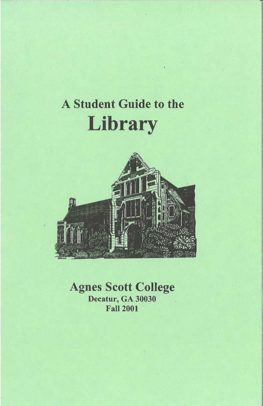# A Student Guide to the **Library**



Agnes Scott College Decatur, GA 30030 Fall 2001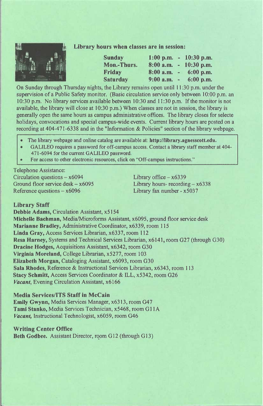

**Library hours when classes are in session:** 

| <b>Sunday</b>   | $1:00$ p.m.   |        | $-10:30$ p.m. |
|-----------------|---------------|--------|---------------|
| Mon.-Thurs.     | 8:00a.m.      |        | $-10:30$ p.m. |
| Friday          | 8:00a.m.      | $\sim$ | $6:00$ p.m.   |
| <b>Saturday</b> | $9:00$ a.m. - |        | $6:00$ p.m.   |

On Sunday through Thursday nights, the Library remains open until 11 :30 p.m. under the supervision of a Public Safety monitor. (Basic circulation service only between 10:00 p.m. an I 0:30 p.m. No library services available between I 0:30 and 11 :30 p.m. If the monitor is not available, the library will close at 10:30 p.m.) When classes are not in session, the library is generally open the same hours as campus administrative offices. The library closes for selecte holidays, convocations and special campus-wide events. Current library hours are posted on a recording at 404-471-6338 and in the "Information & Policies" section of the library webpage.

- The library webpage and online catalog are available at: **http://library.agnesscott.edu.**
- GALILEO requires a password for off-campus access. Contact a library staff member at 404- 4 71-6094 for the current GALILEO password.
- For access to other electronic resources, click on "Off-campus instructions."

Telephone Assistance: Circulation questions - x6094 Ground floor service desk  $- x6095$ Reference questions  $- x6096$ 

Library office  $- x6339$ Library hours- recording  $- x6338$ Library fax number - x5037

#### **Library Staff**

**Debbie Adams,** Circulation Assistant, x5 **l** 54 **Michelle Bachman,** Media/Microforms Assistant, x6095, ground floor service desk **Marianne Bradley,** Administrative Coordinator, x6339, room 115 **Linda Gray,** Access Services Librarian, x6337, room 112 **Resa Harney,** Systems and Technical Services Librarian, x6141, room G27 (through G30) **Dracine Hodges,** Acquisitions Assistant, x6342, room G30 Virginia Moreland, College Librarian, x5277, room 103 **Elizabeth Morgan,** Cataloging Assistant, x6093, room G30 **Sala Rhodes,** Reference & Instructional Services Librarian, x6343, room I 13 **Stacy Schmitt,** Access Services Coordinator & ILL, x5342, room G26 *Vacant,* Evening Circulation Assistant, x6166

#### **Media Services/ITS Staff in McCain**

**Emily Gwynn,** Media Services Manager, x6313, room G47 **Tami Stanko,** Media Services Technician, x5468, room G **11** A *Vacant,* Instructional Technologist, x6059, room G46

#### **Writing Center Office**

**Beth Godbee.** Assistant Director, room G12 (through G13)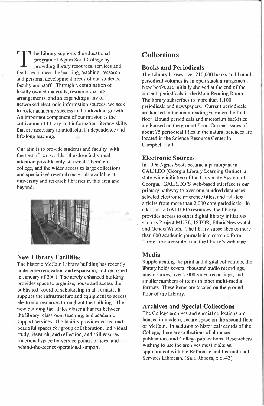$\mathsf{I}$  he Library supports the educational program of Agnes Scott College by providing library resources, services and facilities to meet the learning, teaching, research and personal development needs of our students, faculty and staff. Through a combination of locally owned materials, resource sharing arrangements, and an expanding array of networked electronic information sources, we seek to foster academic success and individual growth. An important component of our mission is the cultivation of library and information literacy skills that are necessary to intellectual, independence and life-long learning.

Our aim is to provide students and faculty with the best of two worlds: the close individual attention possible only at a small liberal arts college, and the wider access to large collections and specialized research materials available at university and research libraries in this area and beyond.



#### **New Library Facilities**

The historic McCain Library building has recently undergone renovation and expansion, and reopened in January of 2001. The newly enhanced building provides space to organize, house and access the published record of scholarship in all formats. It supplies the infrastructure and equipment to access electronic resources throughout the building. The new building facilitates closer alliances between the library, classroom teaching, and academic support services. The facility provides varied and beautiful spaces for group collaboration, individual study, research, and reflection, and still ensures functional space for service points, offices, and behind-the-scenes operational support.

## **Collections**

#### **Books and Periodicals**

The Library houses over 210,000 books and bound periodical volumes in an open stack arrangement. New books are initially shelved at the end of the current periodicals in the Main Reading Room. The library subscribes to more than 1,100 periodicals and newspapers. Current periodicals are housed in the main reading room on the first floor. Bound periodicals and microfilm backfiles are housed on the ground floor. Current issues of about 75 periodical titles in the natural sciences are located in the Science Resource Center in Campbell Hall.

#### **Electronic Sources**

In 1996 Agnes Scott became a participant in GALILEO (Georgia Library Leaming Online), a state-wide initiative of the University System of Georgia. GALILEO'S web-based interface is our primary pathway to over one hundred databases, selected electronic reference titles, and full-text articles from more than 2,000 core periodicals. In addition to GALILEO resources, the library provides access to other digital library initiatives such as Project MUSE, JSTOR, EthnicNewswatch and GenderWatch. The library subscribes to more than 600 academic journals in electronic form. These are accessible from the library's webpage.

#### **Media**

Supplementing the print and digital collections, the library holds several thousand audio recordings, music scores, over 2,000 video recordings, and smaller numbers of items in other multi-media formats. These items are located on the ground floor of the Library.

#### **Archives and Special Collections**

The College archives and special collections are housed in modem, secure space on the second floor of McCain. In addition to historical records of the College, there are collections of alumnae publications and College publications. Researchers wishing to use the archives must make an appointment with the Reference and Instructional Services Librarian. (Sala Rhodes, x 6343)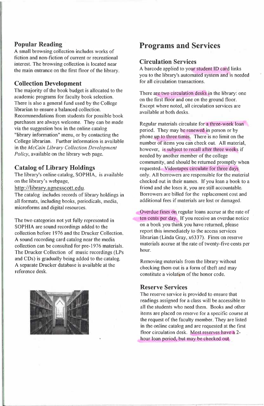#### **Popular Reading**

A small browsing collection includes works of fiction and non-fiction of current or recreational interest. The browsing collection is located near the main entrance on the first floor of the library,

#### **Collection Development**

The majority of the book budget is allocated to the academic programs for faculty book selection. There is also a general fund used by the College librarian to ensure a balanced collection. Recommendations from students for possible book purchases are always welcome. They can be made via the suggestion box in the online catalog "library information" menu, or by contacting the College librarian. Further information is available in the *McCain Library Collection Development Policy,* available on the library web page.

#### **Catalog of Library Holdings**

The library's online catalog, SOPHIA, is available on the library's webpage,

http://library.agnesscott.edu.

The catalog includes records of library holdings in all formats, including books, periodicals, media, microforms and digital resources.

The two categories not yet fully represented in SOPHIA are sound recordings added to the collection before 1976 and the Drucker Collection. A sound recording card catalog near the media collection can be consulted for pre-1976 materials. The Drucker Collection of music recordings (LPs and CDs) is gradually being added to the catalog. A separate Drucker database is available at the reference desk.



## **Programs and Services**

#### **Circulation Services**

A barcode applied to your student ID card links you to the library's automated system and is needed for all circulation transactions.

There are two circulation desks in the library: one on the first floor and one on the ground floor. Except where noted, all circulation services are available at both desks.

Regular materials circulate for a three-week loan period. They may be renewed in person or by phone up to three times. There is no limit on the number of items you can check out. All material, however, is subject to recall after three weeks if needed by another member of the college community, and should be returned promptly when requested. Videotapes circulate for three days only. All borrowers are responsible for the material checked out in their names. If you loan a book to a friend and she loses it, you are still accountable. Borrowers are billed for the replacement cost and additional fees if materials are lost or damaged.

Overdue fines on regular loans accrue at the rate of ten cents per day. If you receive an overdue notice on a book you think you have returned, please report this immediately to the access services librarian (Linda Gray, x6337). Fines on reserve materials accrue at the rate of twenty-five cents per hour.

Removing materials from the library without checking them out is a form of theft and may constitute a violation of the honor code.

#### **Reserve Services**

The reserve service is provided to ensure that readings assigned for a class will be accessible to all the students who need them. Books and other items are placed on reserve for a specific course at the request of the faculty member. They are listed in the online catalog and are requested at the first floor circulation desk. Most reserves have a 2 hour loan period, but may be checked out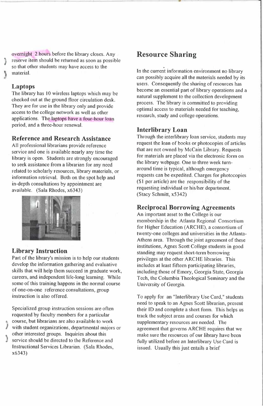overnight 2 hours before the library closes. Any reserve item should be returned as soon as possible so that other students may have access to the material.

#### **Laptops**

The library has IO wireless laptops which may be checked out at the ground floor circulation desk. They are for use in the library only and provide access to the college network as well as other applications. The laptops have a four-hour loan period, and a three-hour renewal.

#### **Reference and Research Assistance**

All professional librarians provide reference service and one is available nearly any time the library is open. Students are strongly encouraged to seek assistance from a librarian for any need related to scholarly resources, library materials, or information retrieval. Both on the spot help and in-depth consultations by appointment are available. (Sala Rhodes, x6343)



#### **Library Instruction**

x6343)

Part of the library's mission is to help our students develop the information gathering and evaluative skills that will help them succeed in graduate work, careers, and independent life-long learning. While some of this training happens in the normal course of one-on-one reference consultations, group instruction is also offered.

Specialized group instruction sessions are often requested by faculty members for a particular ) course, but librarians are also available to work with student organizations, departmental majors or other interested groups. Inquiries about this ) service should be directed to the Reference and Instructional Services Librarian. (Sala Rhodes,

## **Resource Sharing**

In the current information environment no library can possibly acquire all the materials needed by its users. Consequently the sharing of resources has become an essential part of library operations and a natural supplement to the collection development process. The library is committed to providing optimal access to materials needed for teaching, research, study and college operations.

#### **Interlibrary Loan**

Through the interlibrary loan service, students may request the loan of books or photocopies of articles that are not owned by McCain Library, Requests for materials are placed via the electronic form on the library webpage. One to three week turnaround time is typical, although emergency requests can be expedited. Charges for photocopies (\$1 per article) are the responsibility of the requesting individual or his/her department. (Stacy Schmitt, x5342)

#### **Reciprocal Borrowing Agreements**

An important asset to the College is our membership in the Atlanta Regional Consortium for Higher Education (ARCHE), a consortium of twenty-one colleges and universities in the Atlanta-Athens area. Through the joint agreement of these institutions, Agnes Scott College students in good standing may request short-term borrowing privileges at the other ARCHE libraries. This includes at least fifteen participating libraries, including those of Emory, Georgia State, Georgia Tech, the Columbia Theological Seminary and the University of Georgia.

To apply for an "Interlibrary Use Card," students need to speak to an Agnes Scott librarian, present their ID and complete a short form, This helps us track the subject areas and courses for which supplementary resources are needed. The agreement that governs ARCHE requires that we make sure the resources of our library have been fully utilized before an Interlibrary Use Card is issued. Usually this just entails a brief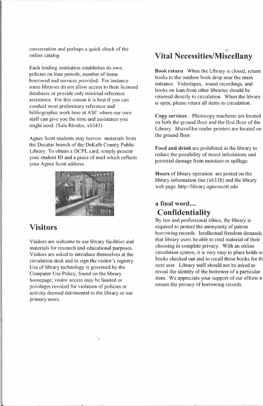conversation and perhaps a quick check of the online catalog.

Each lending institution establishes its own policies on loan periods, number of items borrowed and services provided. For instance some libraries do not allow access to their licensed databases or provide only minimal reference assistance. For this reason it is best if you can conduct most preliminary reference and bibliographic work here at ASC where our own staff can give you the time and assistance you might need. (Sala Rhodes, x6343)

Agnes Scott students may borrow materials from the Decatur branch of the DeKalb County Public Library, To obtain a DCPL card, simply present your student ID and a piece of mail which reflects your Agnes Scott address.



### **Visitors**

Visitors are welcome to use library facilities and materials for research and educational purposes. Visitors are asked to introduce themselves at the circulation desk and to sign the visitor's registry. Use of library technology is governed by the Computer Use Policy, found on the library homepage; visitor access may be limited or privileges revoked for violation of policies or activity deemed detrimental to the library or our primary users.

## **Vital Necessities/Miscellany**

**Book return.** When the Library is closed, return books to the outdoor book drop near the main entrance. Videotapes, sound recordings, and books on loan from other libraries should be returned directly to circulation. When the library is open, please return all items to circulation.

**Copy services.** Photocopy machines are located on both the ground floor and the first floor of the Library. Microfilm reader-printers are located on the ground floor.

**Food and drink** are prohibited in the library to reduce the possibility of insect infestations and potential damage from moisture or spillage.

**Hours** of library operation are posted on the library information line (x6338) and the library web page. http://library.agnesscott.edu

## a final word.... **Confidentiality**

By law and professional ethics, the library is required to protect the anonymity of patron borrowing records. Intellectual freedom demands that library users be able to read material of their choosing in complete privacy. With an online circulation system, it is very easy to place holds <sup>01</sup> books checked out and to recall those books for th next user. Library staff should not be asked to reveal the identity of the borrower of a particular item. We appreciate your support of our efforts to ensure the privacy of borrowing records.